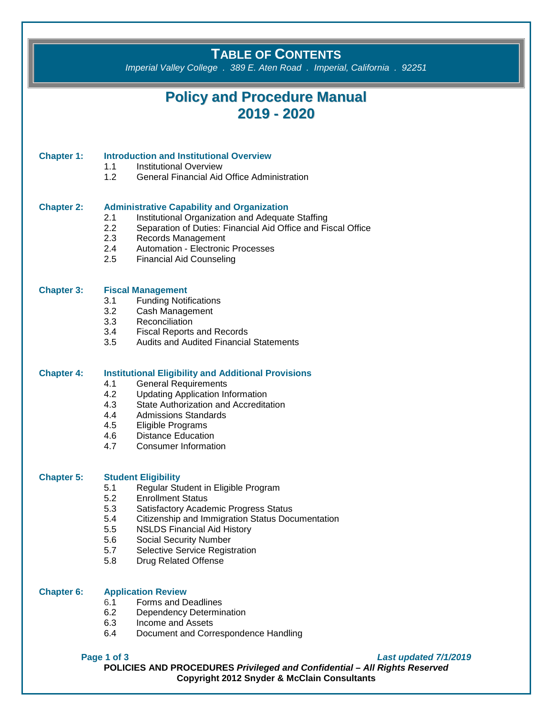## **TABLE OF CONTENTS**

*Imperial Valley College . 389 E. Aten Road . Imperial, California . 92251*

## **Policy and Procedure Manual 2019 - 2020**

## **Chapter 1: Introduction and Institutional Overview**

- 1.1 Institutional Overview
- 1.2 General Financial Aid Office Administration

#### **Chapter 2: Administrative Capability and Organization**

- 2.1 Institutional Organization and Adequate Staffing
- 2.2 Separation of Duties: Financial Aid Office and Fiscal Office
- 2.3 Records Management<br>2.4 Automation Electronic
- Automation Electronic Processes
- 2.5 Financial Aid Counseling

### **Chapter 3: Fiscal Management**

- 3.1 Funding Notifications<br>3.2 Cash Management
- Cash Management
- 3.3 Reconciliation
- 3.4 Fiscal Reports and Records<br>3.5 Audits and Audited Financial
- Audits and Audited Financial Statements

## **Chapter 4: Institutional Eligibility and Additional Provisions**

- 4.1 General Requirements
- 4.2 Updating Application Information<br>4.3 State Authorization and Accredita
- State Authorization and Accreditation
- 4.4 Admissions Standards
- 4.5 Eligible Programs<br>4.6 Distance Educatio
- Distance Education
- 4.7 Consumer Information

# **Chapter 5: Student Eligibility**

- 5.1 Regular Student in Eligible Program<br>5.2 Enrollment Status
- Enrollment Status
- 5.3 Satisfactory Academic Progress Status
- 5.4 Citizenship and Immigration Status Documentation
- 5.5 NSLDS Financial Aid History
- 5.6 Social Security Number
- 5.7 Selective Service Registration
- 5.8 Drug Related Offense

## **Chapter 6: Application Review**

- 
- 6.1 Forms and Deadlines<br>6.2 Dependency Determin Dependency Determination
- 6.3 Income and Assets
- 6.4 Document and Correspondence Handling

**Page 1 of 3** *Last updated 7/1/2019*

**POLICIES AND PROCEDURES** *Privileged and Confidential – All Rights Reserved* **Copyright 2012 Snyder & McClain Consultants**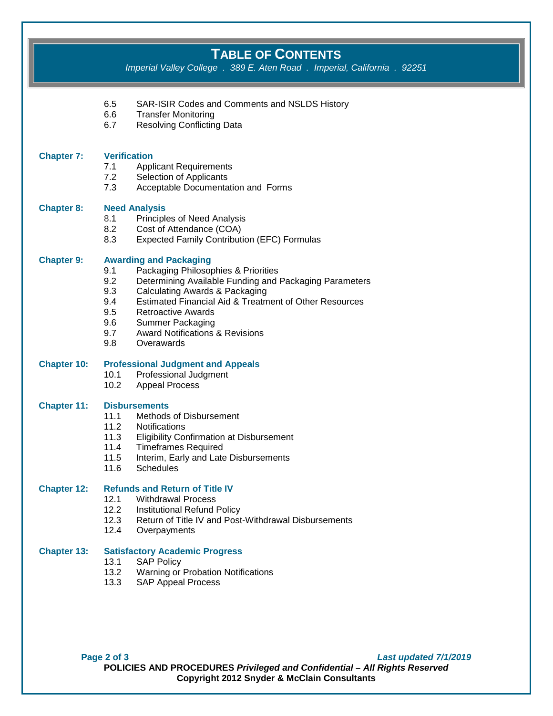# **TABLE OF CONTENTS**

*Imperial Valley College . 389 E. Aten Road . Imperial, California . 92251*

|                    | 6.5<br>6.6<br>6.7                                    | SAR-ISIR Codes and Comments and NSLDS History<br><b>Transfer Monitoring</b><br><b>Resolving Conflicting Data</b>                                                                                                                                                                                                                                          |
|--------------------|------------------------------------------------------|-----------------------------------------------------------------------------------------------------------------------------------------------------------------------------------------------------------------------------------------------------------------------------------------------------------------------------------------------------------|
| <b>Chapter 7:</b>  | <b>Verification</b><br>7.1<br>7.2<br>7.3             | <b>Applicant Requirements</b><br>Selection of Applicants<br>Acceptable Documentation and Forms                                                                                                                                                                                                                                                            |
| <b>Chapter 8:</b>  | 8.1<br>8.2<br>8.3                                    | <b>Need Analysis</b><br><b>Principles of Need Analysis</b><br>Cost of Attendance (COA)<br><b>Expected Family Contribution (EFC) Formulas</b>                                                                                                                                                                                                              |
| <b>Chapter 9:</b>  | 9.1<br>9.2<br>9.3<br>9.4<br>9.5<br>9.6<br>9.7<br>9.8 | <b>Awarding and Packaging</b><br>Packaging Philosophies & Priorities<br>Determining Available Funding and Packaging Parameters<br><b>Calculating Awards &amp; Packaging</b><br>Estimated Financial Aid & Treatment of Other Resources<br><b>Retroactive Awards</b><br><b>Summer Packaging</b><br><b>Award Notifications &amp; Revisions</b><br>Overawards |
| <b>Chapter 10:</b> | 10.1<br>10.2                                         | <b>Professional Judgment and Appeals</b><br>Professional Judgment<br><b>Appeal Process</b>                                                                                                                                                                                                                                                                |
| <b>Chapter 11:</b> | 11.1<br>11.2<br>11.3<br>11.4<br>11.5<br>11.6         | <b>Disbursements</b><br>Methods of Disbursement<br><b>Notifications</b><br><b>Eligibility Confirmation at Disbursement</b><br><b>Timeframes Required</b><br>Interim, Early and Late Disbursements<br><b>Schedules</b>                                                                                                                                     |
| <b>Chapter 12:</b> | 12.2<br>12.3<br>12.4                                 | <b>Refunds and Return of Title IV</b><br>12.1 Withdrawal Process<br>Institutional Refund Policy<br>Return of Title IV and Post-Withdrawal Disbursements<br>Overpayments                                                                                                                                                                                   |
| <b>Chapter 13:</b> | 13.1<br>13.2                                         | <b>Satisfactory Academic Progress</b><br><b>SAP Policy</b><br>Warning or Probation Notifications                                                                                                                                                                                                                                                          |

13.3 SAP Appeal Process

**Page 2 of 3** *Last updated 7/1/2019* **POLICIES AND PROCEDURES** *Privileged and Confidential – All Rights Reserved* **Copyright 2012 Snyder & McClain Consultants**